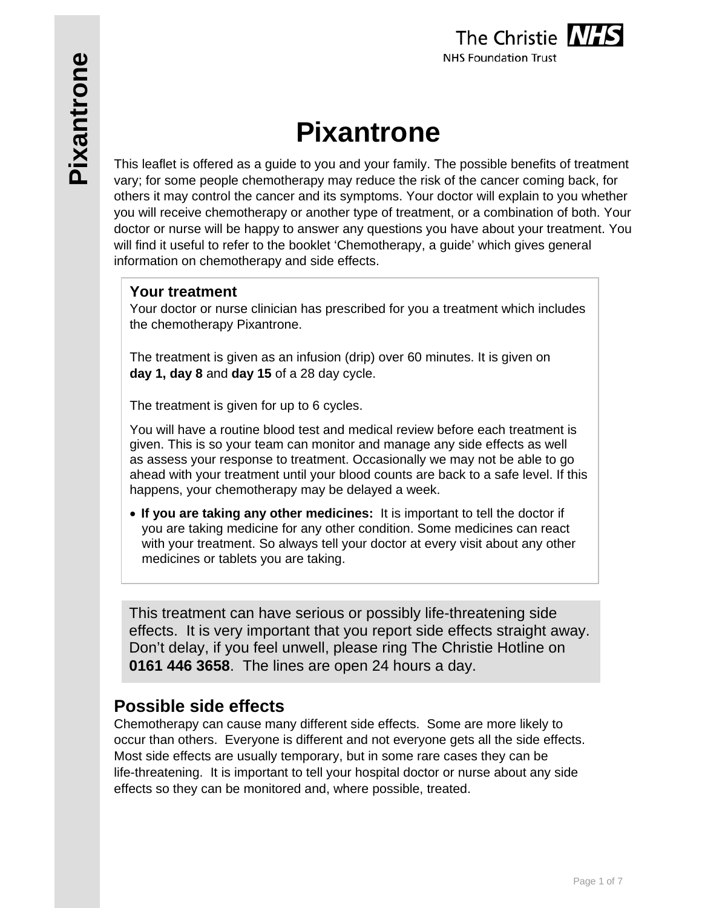# **Pixantrone**

This leaflet is offered as a guide to you and your family. The possible benefits of treatment vary; for some people chemotherapy may reduce the risk of the cancer coming back, for others it may control the cancer and its symptoms. Your doctor will explain to you whether you will receive chemotherapy or another type of treatment, or a combination of both. Your doctor or nurse will be happy to answer any questions you have about your treatment. You will find it useful to refer to the booklet 'Chemotherapy, a guide' which gives general information on chemotherapy and side effects.

### **Your treatment**

Your doctor or nurse clinician has prescribed for you a treatment which includes the chemotherapy Pixantrone.

The treatment is given as an infusion (drip) over 60 minutes. It is given on **day 1, day 8** and **day 15** of a 28 day cycle.

The treatment is given for up to 6 cycles.

You will have a routine blood test and medical review before each treatment is given. This is so your team can monitor and manage any side effects as well as assess your response to treatment. Occasionally we may not be able to go ahead with your treatment until your blood counts are back to a safe level. If this happens, your chemotherapy may be delayed a week.

 **If you are taking any other medicines:** It is important to tell the doctor if you are taking medicine for any other condition. Some medicines can react with your treatment. So always tell your doctor at every visit about any other medicines or tablets you are taking.

This treatment can have serious or possibly life-threatening side effects. It is very important that you report side effects straight away. Don't delay, if you feel unwell, please ring The Christie Hotline on **0161 446 3658**. The lines are open 24 hours a day.

# **Possible side effects**

Chemotherapy can cause many different side effects. Some are more likely to occur than others. Everyone is different and not everyone gets all the side effects. Most side effects are usually temporary, but in some rare cases they can be life-threatening. It is important to tell your hospital doctor or nurse about any side effects so they can be monitored and, where possible, treated.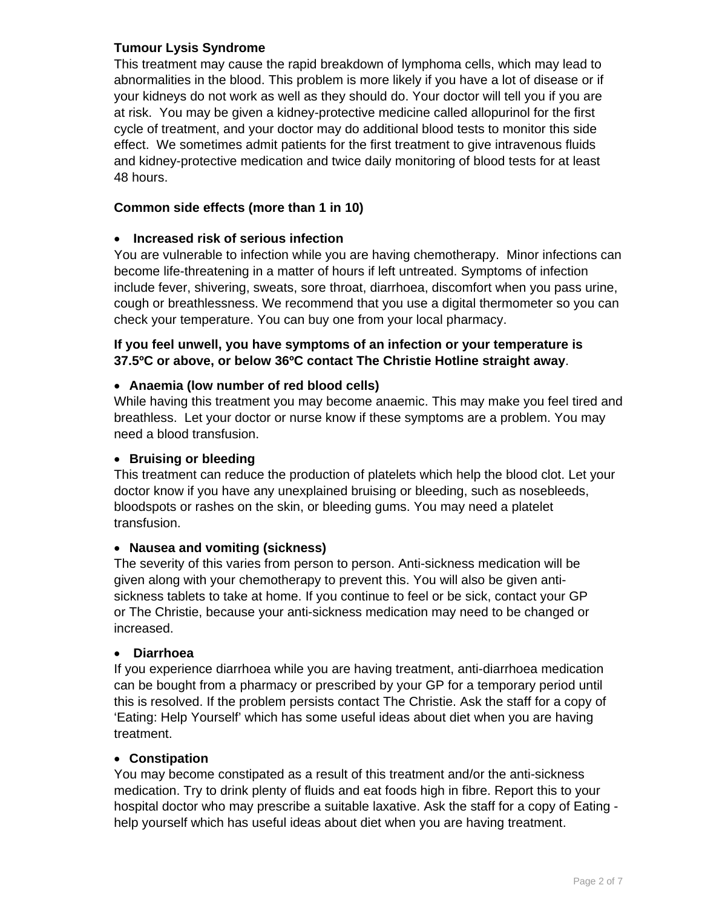#### **Tumour Lysis Syndrome**

This treatment may cause the rapid breakdown of lymphoma cells, which may lead to abnormalities in the blood. This problem is more likely if you have a lot of disease or if your kidneys do not work as well as they should do. Your doctor will tell you if you are at risk. You may be given a kidney-protective medicine called allopurinol for the first cycle of treatment, and your doctor may do additional blood tests to monitor this side effect. We sometimes admit patients for the first treatment to give intravenous fluids and kidney-protective medication and twice daily monitoring of blood tests for at least 48 hours.

#### **Common side effects (more than 1 in 10)**

#### **Increased risk of serious infection**

You are vulnerable to infection while you are having chemotherapy. Minor infections can become life-threatening in a matter of hours if left untreated. Symptoms of infection include fever, shivering, sweats, sore throat, diarrhoea, discomfort when you pass urine, cough or breathlessness. We recommend that you use a digital thermometer so you can check your temperature. You can buy one from your local pharmacy.

#### **If you feel unwell, you have symptoms of an infection or your temperature is 37.5ºC or above, or below 36ºC contact The Christie Hotline straight away**.

#### **Anaemia (low number of red blood cells)**

While having this treatment you may become anaemic. This may make you feel tired and breathless. Let your doctor or nurse know if these symptoms are a problem. You may need a blood transfusion.

#### **• Bruising or bleeding**

This treatment can reduce the production of platelets which help the blood clot. Let your doctor know if you have any unexplained bruising or bleeding, such as nosebleeds, bloodspots or rashes on the skin, or bleeding gums. You may need a platelet transfusion.

#### **Nausea and vomiting (sickness)**

The severity of this varies from person to person. Anti-sickness medication will be given along with your chemotherapy to prevent this. You will also be given antisickness tablets to take at home. If you continue to feel or be sick, contact your GP or The Christie, because your anti-sickness medication may need to be changed or increased.

#### **Diarrhoea**

If you experience diarrhoea while you are having treatment, anti-diarrhoea medication can be bought from a pharmacy or prescribed by your GP for a temporary period until this is resolved. If the problem persists contact The Christie. Ask the staff for a copy of 'Eating: Help Yourself' which has some useful ideas about diet when you are having treatment.

#### **Constipation**

You may become constipated as a result of this treatment and/or the anti-sickness medication. Try to drink plenty of fluids and eat foods high in fibre. Report this to your hospital doctor who may prescribe a suitable laxative. Ask the staff for a copy of Eating help yourself which has useful ideas about diet when you are having treatment.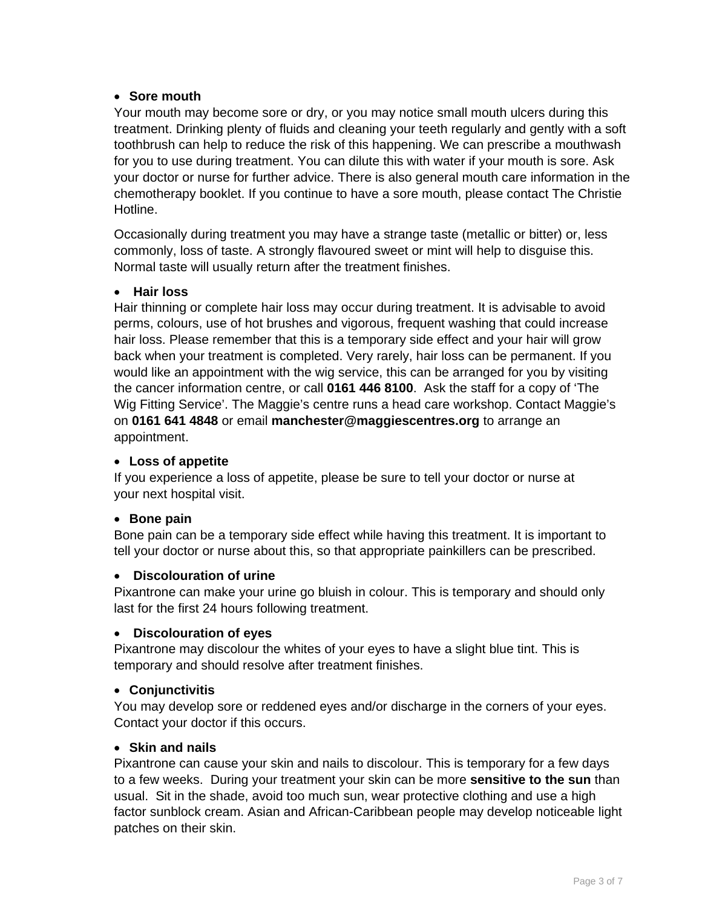#### **Sore mouth**

Your mouth may become sore or dry, or you may notice small mouth ulcers during this treatment. Drinking plenty of fluids and cleaning your teeth regularly and gently with a soft toothbrush can help to reduce the risk of this happening. We can prescribe a mouthwash for you to use during treatment. You can dilute this with water if your mouth is sore. Ask your doctor or nurse for further advice. There is also general mouth care information in the chemotherapy booklet. If you continue to have a sore mouth, please contact The Christie Hotline.

Occasionally during treatment you may have a strange taste (metallic or bitter) or, less commonly, loss of taste. A strongly flavoured sweet or mint will help to disguise this. Normal taste will usually return after the treatment finishes.

#### **Hair loss**

Hair thinning or complete hair loss may occur during treatment. It is advisable to avoid perms, colours, use of hot brushes and vigorous, frequent washing that could increase hair loss. Please remember that this is a temporary side effect and your hair will grow back when your treatment is completed. Very rarely, hair loss can be permanent. If you would like an appointment with the wig service, this can be arranged for you by visiting the cancer information centre, or call **0161 446 8100**. Ask the staff for a copy of 'The Wig Fitting Service'. The Maggie's centre runs a head care workshop. Contact Maggie's on **0161 641 4848** or email **manchester@maggiescentres.org** to arrange an appointment.

#### **Loss of appetite**

If you experience a loss of appetite, please be sure to tell your doctor or nurse at your next hospital visit.

#### **Bone pain**

Bone pain can be a temporary side effect while having this treatment. It is important to tell your doctor or nurse about this, so that appropriate painkillers can be prescribed.

#### **Discolouration of urine**

Pixantrone can make your urine go bluish in colour. This is temporary and should only last for the first 24 hours following treatment.

#### **Discolouration of eyes**

Pixantrone may discolour the whites of your eyes to have a slight blue tint. This is temporary and should resolve after treatment finishes.

#### **Conjunctivitis**

You may develop sore or reddened eyes and/or discharge in the corners of your eyes. Contact your doctor if this occurs.

#### **Skin and nails**

Pixantrone can cause your skin and nails to discolour. This is temporary for a few days to a few weeks. During your treatment your skin can be more **sensitive to the sun** than usual. Sit in the shade, avoid too much sun, wear protective clothing and use a high factor sunblock cream. Asian and African-Caribbean people may develop noticeable light patches on their skin.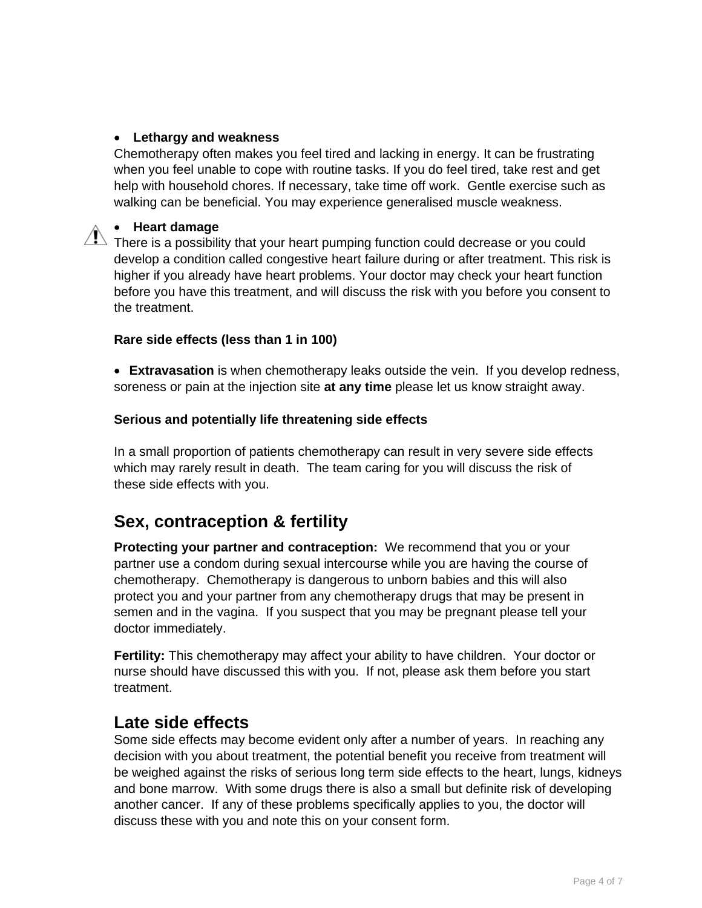#### **Lethargy and weakness**

Chemotherapy often makes you feel tired and lacking in energy. It can be frustrating when you feel unable to cope with routine tasks. If you do feel tired, take rest and get help with household chores. If necessary, take time off work. Gentle exercise such as walking can be beneficial. You may experience generalised muscle weakness.

#### **Heart damage**

There is a possibility that your heart pumping function could decrease or you could<br>There is a possibility that your heart pumping function could decrease or you could develop a condition called congestive heart failure during or after treatment. This risk is higher if you already have heart problems. Your doctor may check your heart function before you have this treatment, and will discuss the risk with you before you consent to the treatment.

#### **Rare side effects (less than 1 in 100)**

 **Extravasation** is when chemotherapy leaks outside the vein. If you develop redness, soreness or pain at the injection site **at any time** please let us know straight away.

#### **Serious and potentially life threatening side effects**

In a small proportion of patients chemotherapy can result in very severe side effects which may rarely result in death. The team caring for you will discuss the risk of these side effects with you.

# **Sex, contraception & fertility**

**Protecting your partner and contraception:** We recommend that you or your partner use a condom during sexual intercourse while you are having the course of chemotherapy. Chemotherapy is dangerous to unborn babies and this will also protect you and your partner from any chemotherapy drugs that may be present in semen and in the vagina. If you suspect that you may be pregnant please tell your doctor immediately.

**Fertility:** This chemotherapy may affect your ability to have children. Your doctor or nurse should have discussed this with you. If not, please ask them before you start treatment.

# **Late side effects**

Some side effects may become evident only after a number of years. In reaching any decision with you about treatment, the potential benefit you receive from treatment will be weighed against the risks of serious long term side effects to the heart, lungs, kidneys and bone marrow. With some drugs there is also a small but definite risk of developing another cancer. If any of these problems specifically applies to you, the doctor will discuss these with you and note this on your consent form.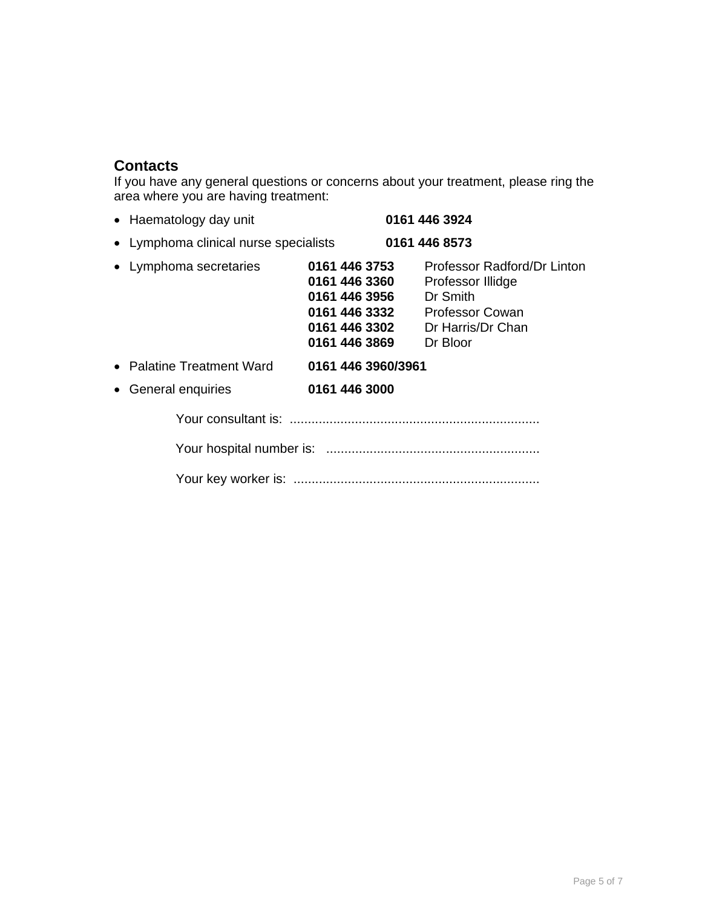# **Contacts**

If you have any general questions or concerns about your treatment, please ring the area where you are having treatment:

| • Haematology day unit                |                                                                                   | 0161 446 3924                                                                                                                  |
|---------------------------------------|-----------------------------------------------------------------------------------|--------------------------------------------------------------------------------------------------------------------------------|
| • Lymphoma clinical nurse specialists |                                                                                   | 0161 446 8573                                                                                                                  |
| • Lymphoma secretaries                | 0161 446 3753<br>0161 446 3360<br>0161 446 3956<br>0161 446 3302<br>0161 446 3869 | Professor Radford/Dr Linton<br>Professor Illidge<br>Dr Smith<br>0161 446 3332 Professor Cowan<br>Dr Harris/Dr Chan<br>Dr Bloor |
| • Palatine Treatment Ward             | 0161 446 3960/3961                                                                |                                                                                                                                |
| • General enquiries                   | 0161 446 3000                                                                     |                                                                                                                                |
|                                       |                                                                                   |                                                                                                                                |
|                                       |                                                                                   |                                                                                                                                |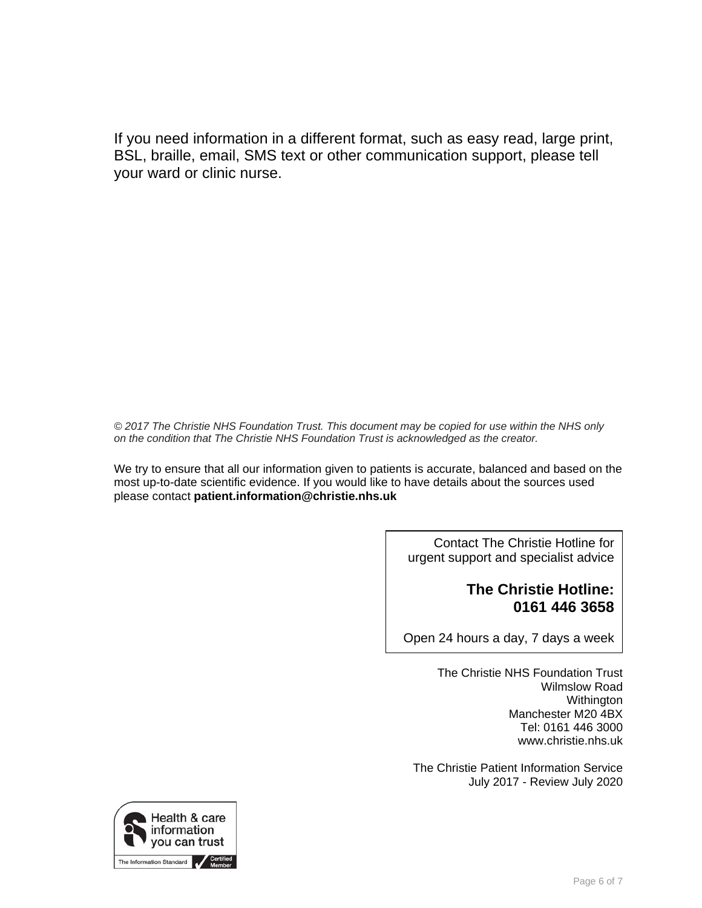If you need information in a different format, such as easy read, large print, BSL, braille, email, SMS text or other communication support, please tell your ward or clinic nurse.

*© 2017 The Christie NHS Foundation Trust. This document may be copied for use within the NHS only on the condition that The Christie NHS Foundation Trust is acknowledged as the creator.*

We try to ensure that all our information given to patients is accurate, balanced and based on the most up-to-date scientific evidence. If you would like to have details about the sources used please contact **patient.information@christie.nhs.uk** 

> Contact The Christie Hotline for urgent support and specialist advice

# **The Christie Hotline: 0161 446 3658**

Open 24 hours a day, 7 days a week

The Christie NHS Foundation Trust Wilmslow Road Withington Manchester M20 4BX Tel: 0161 446 3000 www.christie.nhs.uk

The Christie Patient Information Service July 2017 - Review July 2020